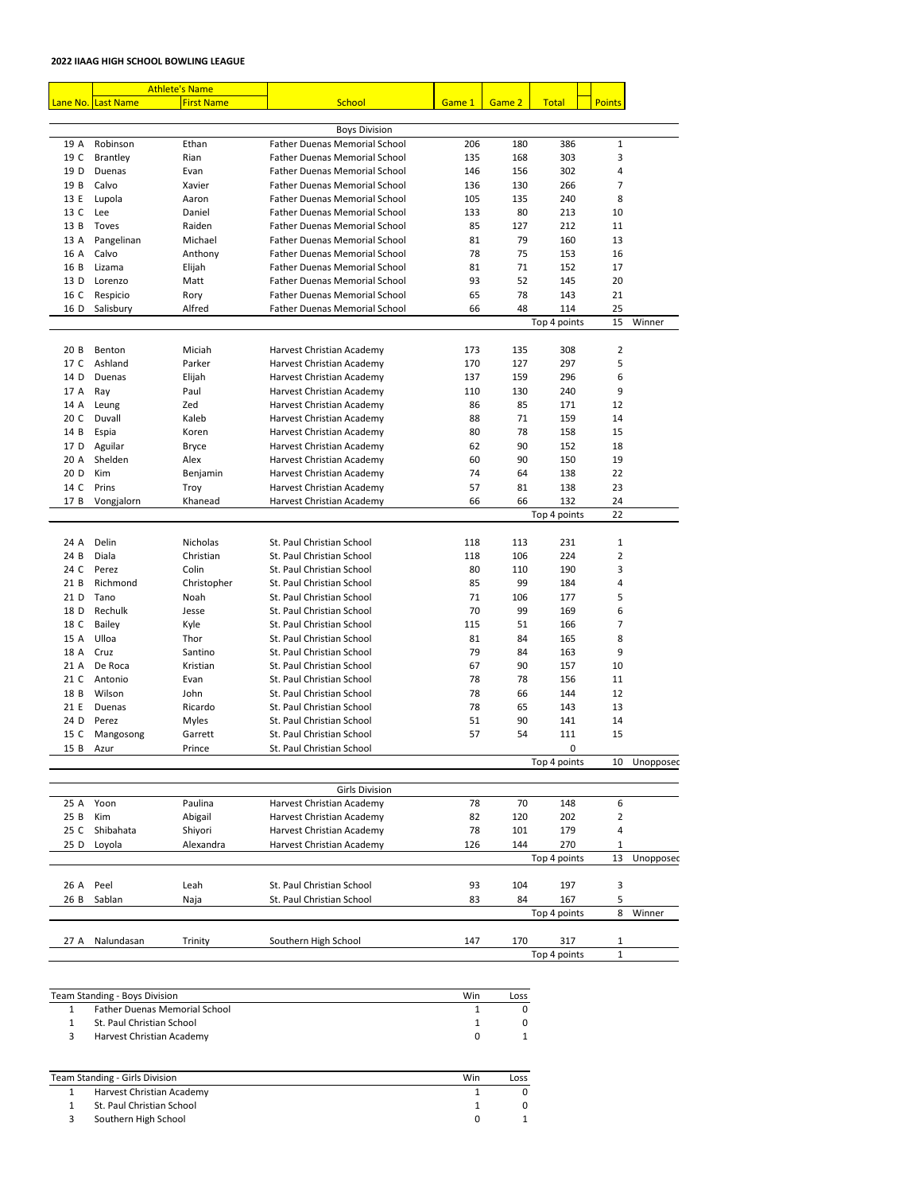## **2022 IIAAG HIGH SCHOOL BOWLING LEAGUE**

| <b>Athlete's Name</b> |                    |                      |                                                        |        |        |              |                |           |
|-----------------------|--------------------|----------------------|--------------------------------------------------------|--------|--------|--------------|----------------|-----------|
|                       | Lane No. Last Name | <b>First Name</b>    | <b>School</b>                                          | Game 1 | Game 2 | <b>Total</b> | <b>Points</b>  |           |
|                       |                    |                      |                                                        |        |        |              |                |           |
|                       |                    |                      | <b>Boys Division</b>                                   |        |        |              |                |           |
| 19 A                  | Robinson           | Ethan                | <b>Father Duenas Memorial School</b>                   | 206    | 180    | 386          | 1              |           |
| 19 C                  | <b>Brantley</b>    | Rian                 | <b>Father Duenas Memorial School</b>                   | 135    | 168    | 303          | 3              |           |
| 19 D                  | Duenas             | Evan                 | <b>Father Duenas Memorial School</b>                   | 146    | 156    | 302          | 4              |           |
| 19 B                  | Calvo              | Xavier               | <b>Father Duenas Memorial School</b>                   | 136    | 130    | 266          | $\overline{7}$ |           |
| 13 E                  | Lupola             | Aaron                | <b>Father Duenas Memorial School</b>                   | 105    | 135    | 240          | 8              |           |
| 13 C                  | Lee                | Daniel               | <b>Father Duenas Memorial School</b>                   | 133    | 80     | 213          | 10             |           |
| 13 B                  | Toves              | Raiden               | <b>Father Duenas Memorial School</b>                   | 85     | 127    | 212          | 11             |           |
| 13 A                  | Pangelinan         | Michael              | <b>Father Duenas Memorial School</b>                   | 81     | 79     | 160          | 13             |           |
| 16 A                  | Calvo              | Anthony              | <b>Father Duenas Memorial School</b>                   | 78     | 75     | 153          | 16             |           |
| 16 B                  | Lizama             | Elijah               | <b>Father Duenas Memorial School</b>                   | 81     | 71     | 152          | 17             |           |
| 13 D                  | Lorenzo            | Matt                 | <b>Father Duenas Memorial School</b>                   | 93     | 52     | 145          | 20             |           |
| 16 C                  | Respicio           | Rory                 | <b>Father Duenas Memorial School</b>                   | 65     | 78     | 143          | 21             |           |
| 16 D                  | Salisbury          | Alfred               | <b>Father Duenas Memorial School</b>                   | 66     | 48     | 114          | 25             |           |
|                       |                    |                      |                                                        |        |        | Top 4 points | 15             | Winner    |
| 20B                   | Benton             | Miciah               | Harvest Christian Academy                              | 173    | 135    | 308          | $\overline{2}$ |           |
| 17 C                  | Ashland            | Parker               | Harvest Christian Academy                              | 170    | 127    | 297          | 5              |           |
| 14 D                  | Duenas             | Elijah               | Harvest Christian Academy                              | 137    | 159    | 296          | 6              |           |
| 17 A                  | Ray                | Paul                 | Harvest Christian Academy                              | 110    | 130    | 240          | 9              |           |
| 14 A                  | Leung              | Zed                  | Harvest Christian Academy                              | 86     | 85     | 171          | 12             |           |
| 20 C                  | Duvall             | Kaleb                | Harvest Christian Academy                              | 88     | 71     | 159          | 14             |           |
| 14 B                  | Espia              | Koren                | Harvest Christian Academy                              | 80     | 78     | 158          | 15             |           |
| 17 D                  | Aguilar            |                      | Harvest Christian Academy                              | 62     | 90     | 152          | 18             |           |
| 20 A                  | Shelden            | <b>Bryce</b><br>Alex | Harvest Christian Academy                              | 60     | 90     | 150          | 19             |           |
| 20 D                  | Kim                |                      |                                                        | 74     | 64     | 138          | 22             |           |
| 14 C                  | Prins              | Benjamin             | Harvest Christian Academy<br>Harvest Christian Academy | 57     | 81     | 138          | 23             |           |
|                       |                    | Troy<br>Khanead      | Harvest Christian Academy                              | 66     | 66     | 132          |                |           |
|                       | 17 B Vongjalorn    |                      |                                                        |        |        | Top 4 points | 24<br>22       |           |
|                       |                    |                      |                                                        |        |        |              |                |           |
| 24 A                  | Delin              | Nicholas             | St. Paul Christian School                              | 118    | 113    | 231          | $\mathbf{1}$   |           |
| 24 B                  | Diala              | Christian            | St. Paul Christian School                              | 118    | 106    | 224          | $\overline{2}$ |           |
| 24 C                  | Perez              | Colin                | St. Paul Christian School                              | 80     | 110    | 190          | 3              |           |
| 21 B                  | Richmond           | Christopher          | St. Paul Christian School                              | 85     | 99     | 184          | 4              |           |
| 21 D                  | Tano               | Noah                 | St. Paul Christian School                              | 71     | 106    | 177          | 5              |           |
| 18 D                  | Rechulk            | Jesse                | St. Paul Christian School                              | 70     | 99     | 169          | 6              |           |
| 18 C                  | <b>Bailey</b>      | Kyle                 | St. Paul Christian School                              | 115    | 51     | 166          | 7              |           |
| 15 A                  | Ulloa              | Thor                 | St. Paul Christian School                              | 81     | 84     | 165          | 8              |           |
| 18 A                  | Cruz               | Santino              | St. Paul Christian School                              | 79     | 84     | 163          | 9              |           |
| 21 A                  | De Roca            | Kristian             | St. Paul Christian School                              | 67     | 90     | 157          | 10             |           |
| 21 C                  | Antonio            | Evan                 | St. Paul Christian School                              | 78     | 78     | 156          | 11             |           |
| 18 B                  | Wilson             | John                 | St. Paul Christian School                              | 78     | 66     | 144          | 12             |           |
| 21 E                  | Duenas             | Ricardo              | St. Paul Christian School                              | 78     | 65     | 143          | 13             |           |
| 24 D                  | Perez              | <b>Myles</b>         | St. Paul Christian School                              | 51     | 90     | 141          | 14             |           |
| 15 C                  | Mangosong          | Garrett              | St. Paul Christian School                              | 57     | 54     | 111          | 15             |           |
| 15 B                  | Azur               | Prince               | St. Paul Christian School                              |        |        | 0            |                |           |
|                       |                    |                      |                                                        |        |        | Top 4 points | 10             | Unopposec |
|                       |                    |                      |                                                        |        |        |              |                |           |
| 25 A                  | Yoon               | Paulina              | <b>Girls Division</b><br>Harvest Christian Academy     | 78     | 70     | 148          | 6              |           |
| 25B                   | Kim                | Abigail              | Harvest Christian Academy                              | 82     | 120    | 202          | 2              |           |
| 25 C                  | Shibahata          | Shiyori              | Harvest Christian Academy                              | 78     | 101    | 179          | 4              |           |
|                       |                    |                      |                                                        |        |        |              |                |           |

D Loyola Alexandra Harvest Christian Academy 126 144 270 1

|                    |         |                           |     | Top 4 points |     | 13 | Unopposec |
|--------------------|---------|---------------------------|-----|--------------|-----|----|-----------|
| 26A<br>Peel        | Leah    | St. Paul Christian School | 93  | 104          | 197 | 3  |           |
| Sablan<br>26B      | Naja    | St. Paul Christian School | 83  | 84           | 167 |    |           |
|                    |         |                           |     | Top 4 points |     | 8  | Winner    |
| Nalundasan<br>27 A | Trinity | Southern High School      | 147 | 170          | 317 |    |           |
|                    |         |                           |     | Top 4 points |     |    |           |

| Team Standing - Boys Division |                                      |  | LOSS |
|-------------------------------|--------------------------------------|--|------|
|                               | <b>Father Duenas Memorial School</b> |  |      |
|                               | St. Paul Christian School            |  |      |
|                               | Harvest Christian Academy            |  |      |

| <b>Team Standing - Girls Division</b> |                           |  | Loss |
|---------------------------------------|---------------------------|--|------|
|                                       | Harvest Christian Academy |  |      |
|                                       | St. Paul Christian School |  |      |
|                                       | Southern High School      |  |      |